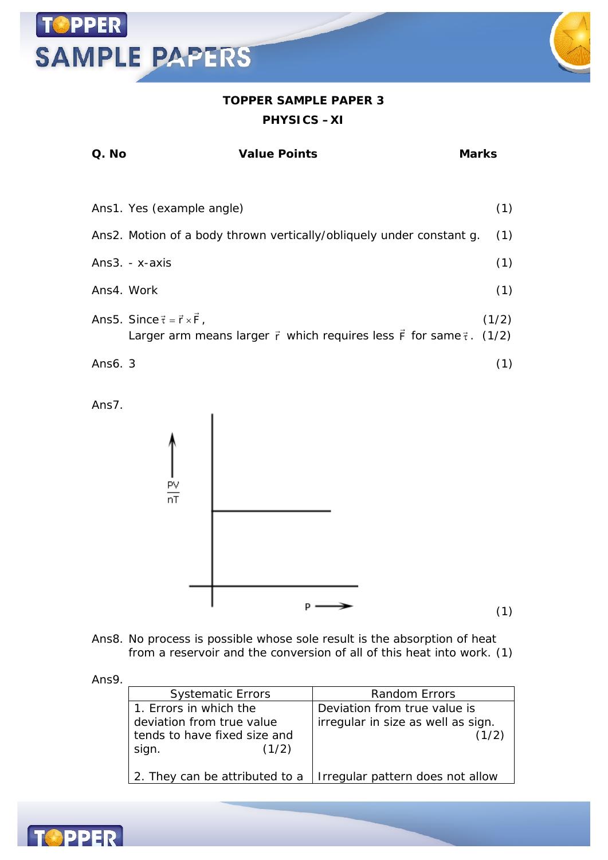#### **TOPPER SAMPLE PAPER 3 PHYSICS –XI**

| Q. No      | Value Points                                                                                                                                         | Marks |
|------------|------------------------------------------------------------------------------------------------------------------------------------------------------|-------|
|            |                                                                                                                                                      |       |
|            | Ans1. Yes (example angle)                                                                                                                            | (1)   |
|            | Ans2. Motion of a body thrown vertically/obliquely under constant g.                                                                                 | (1)   |
|            | Ans3. - x-axis                                                                                                                                       | (1)   |
| Ans4. Work |                                                                                                                                                      | (1)   |
|            | Ans5. Since $\vec{\tau} = \vec{r} \times \vec{F}$ ,<br>Larger arm means larger $\vec{r}$ which requires less $\vec{F}$ for same $\vec{\tau}$ . (1/2) | (1/2) |
| Ans6. 3    |                                                                                                                                                      | (1)   |

Ans7.

**OPPER** 

**SAMPLE PAPERS** 



Ans8. No process is possible whose sole result is the absorption of heat from a reservoir and the conversion of all of this heat into work. (1)

Ans9.

| <b>Systematic Errors</b>       | Random Errors                      |
|--------------------------------|------------------------------------|
| 1. Errors in which the         | Deviation from true value is       |
| deviation from true value      | irregular in size as well as sign. |
| tends to have fixed size and   | (1/2)                              |
| (1/2)<br>sign.                 |                                    |
|                                |                                    |
| 2. They can be attributed to a | Irregular pattern does not allow   |
|                                |                                    |

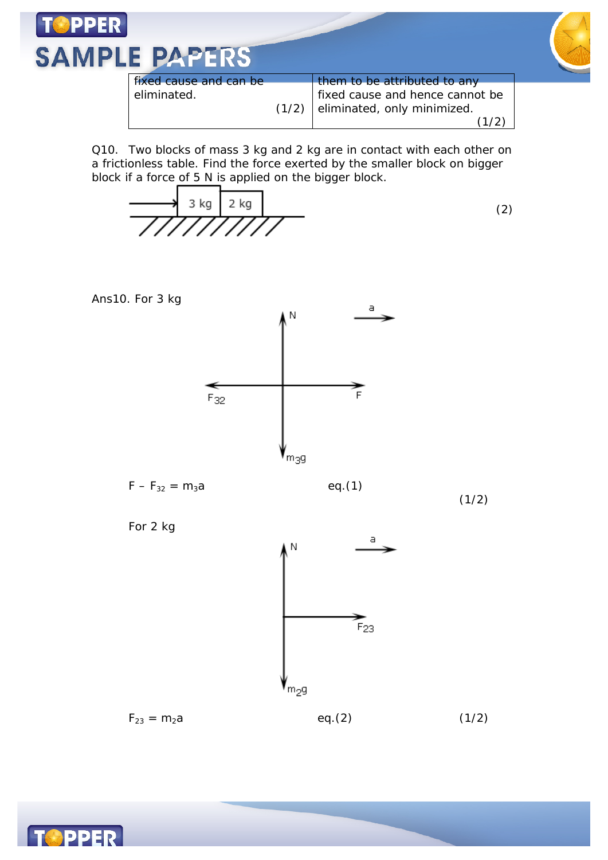

Q10. Two blocks of mass 3 kg and 2 kg are in contact with each other on a frictionless table. Find the force exerted by the smaller block on bigger block if a force of 5 N is applied on the bigger block.

$$
\overrightarrow{\qquad \qquad } 3 \text{ kg} \overrightarrow{2 \text{ kg}}
$$
\n
$$
\overrightarrow{\qquad \qquad } (2)
$$





**PPER**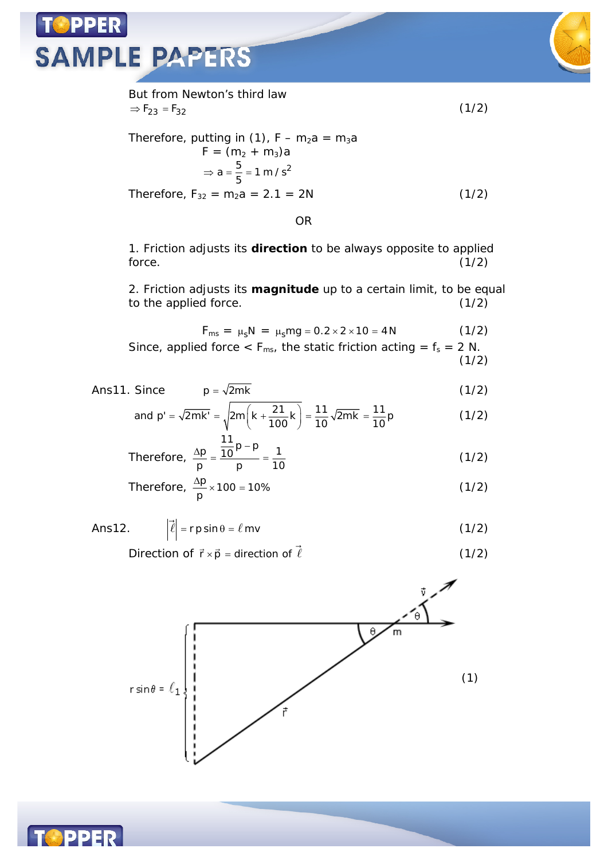## PPER **SAMPLE PAPERS**



But from Newton's third law  $\Rightarrow$  F<sub>23</sub> = F<sub>32</sub> (1/2) Therefore, putting in (1),  $F - m_2a = m_3a$  $F = (m_2 + m_3)a$  $a = \frac{5}{5} = 1 \text{ m/s}^2$  $\Rightarrow$  a =  $\frac{6}{5}$  = 1 Therefore,  $F_{32} = m_2 a = 2.1 = 2N$  (1/2)

OR

1. Friction adjusts its **direction** to be always opposite to applied force.  $(1/2)$ 

2. Friction adjusts its **magnitude** up to a certain limit, to be equal to the applied force. (1/2)

$$
F_{ms} = \mu_s N = \mu_s mg = 0.2 \times 2 \times 10 = 4 N \tag{1/2}
$$

Since, applied force 
$$
< F_{\text{ms}}
$$
, the static friction acting =  $f_s = 2 \text{ N}$ . (1/2)

Ans11. Since 
$$
p = \sqrt{2mk}
$$
 (1/2)

and p' = 
$$
\sqrt{2mk'} = \sqrt{2m(k + \frac{21}{100}k)} = \frac{11}{10}\sqrt{2mk} = \frac{11}{10}p
$$
 (1/2)

Therefore, 
$$
\frac{\Delta p}{p} = \frac{\frac{11}{10}p - p}{p} = \frac{1}{10}
$$
 (1/2)

Therefore, 
$$
\frac{\Delta p}{p} \times 100 = 10\%
$$
 (1/2)

Ans12. 
$$
\left| \vec{\ell} \right| = r \text{p} \sin \theta = \ell \text{mv}
$$
 (1/2)

Direction of  $\vec{r} \times \vec{p}$  = direction of  $\rightarrow$ (1/2)



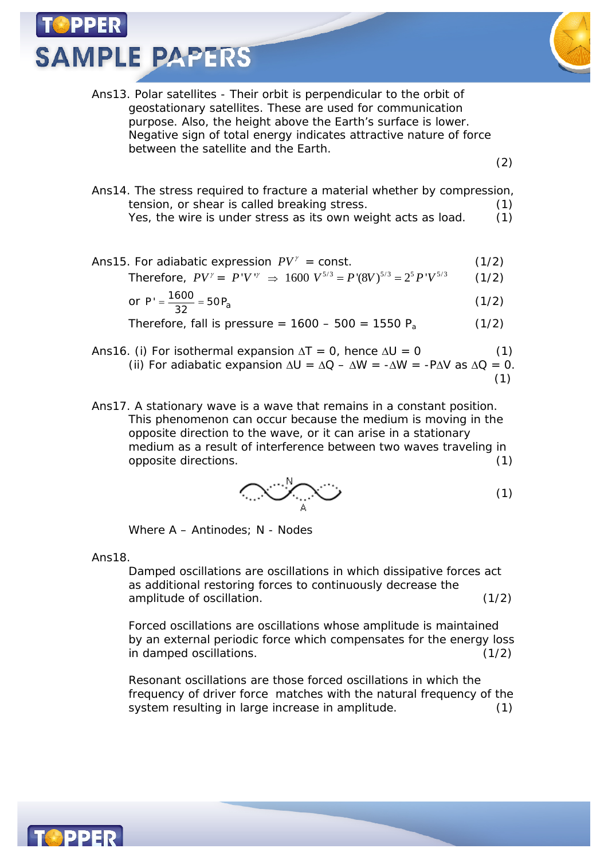**SAMPLE PAPERS** 



Ans13. Polar satellites - Their orbit is perpendicular to the orbit of geostationary satellites. These are used for communication purpose. Also, the height above the Earth's surface is lower. Negative sign of total energy indicates attractive nature of force between the satellite and the Earth.

(2)

Ans14. The stress required to fracture a material whether by compression, tension, or shear is called breaking stress. (1) Yes, the wire is under stress as its own weight acts as load. (1)

Ans15. For adiabatic expression  $PV^{\gamma}$  = const. (1/2)

Therefore,  $PV' = P'V'' \Rightarrow 1600 V^{5/3} = P'(8V)^{5/3} = 2^5 P'V^{5/3}$  (1/2)

or 
$$
P' = \frac{1600}{32} = 50P_a
$$
 (1/2)

Therefore, fall is pressure =  $1600 - 500 = 1550 P_a$  (1/2)

- Ans16. (i) For isothermal expansion  $\Delta T = 0$ , hence  $\Delta U = 0$  (1) (ii) For adiabatic expansion  $\Delta U = \Delta Q - \Delta W = -\Delta W = -P\Delta V$  as  $\Delta Q = 0$ . (1)
- Ans17. A stationary wave is a wave that remains in a constant position. This phenomenon can occur because the medium is moving in the opposite direction to the wave, or it can arise in a stationary medium as a result of interference between two waves traveling in opposite directions. (1)

$$
\bigcirc \bigcirc \bigcirc_{\mathbb{A}} \bigcirc
$$
 (1)

Where A – Antinodes; N - Nodes

Ans18.

Damped oscillations are oscillations in which dissipative forces act as additional restoring forces to continuously decrease the amplitude of oscillation. (1/2)

Forced oscillations are oscillations whose amplitude is maintained by an external periodic force which compensates for the energy loss in damped oscillations. (1/2)

Resonant oscillations are those forced oscillations in which the frequency of driver force matches with the natural frequency of the system resulting in large increase in amplitude. (1)

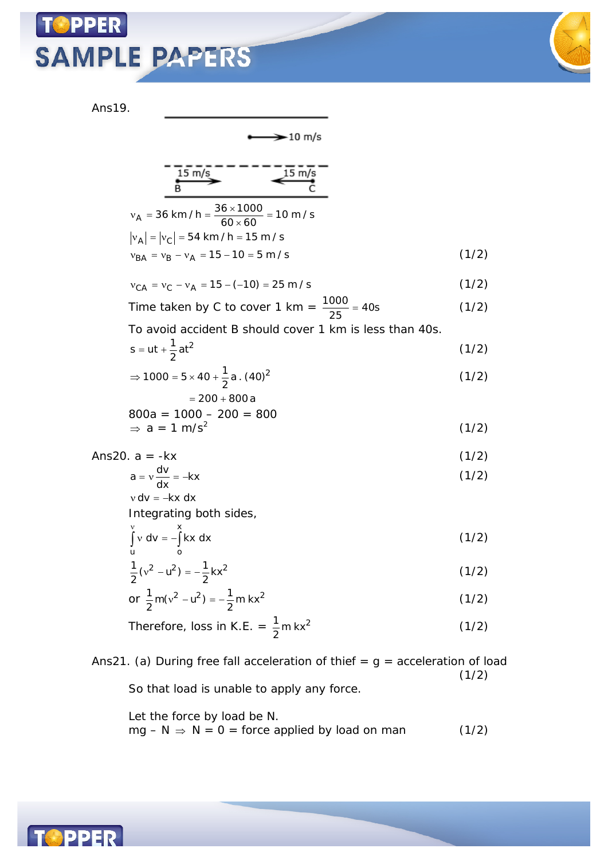## **PPER SAMPLE PAPERS**



Ans19.

 $\rightarrow$  10 m/s

$$
\underbrace{\overbrace{\text{is m/s}}^{\text{15 m/s}}}_{\text{B}} - \underbrace{\overbrace{\text{is m/s}}^{\text{15 m/s}}}_{\text{C}} -
$$

| $v_A = 36$ km / h = $\frac{36 \times 1000}{60 \times 60}$ = 10 m / s |       |
|----------------------------------------------------------------------|-------|
| $ v_A  =  v_C  = 54$ km / h = 15 m / s                               |       |
| $v_{BA} = v_B - v_A = 15 - 10 = 5$ m / s                             | (1/2) |

$$
v_{CA} = v_C - v_A = 15 - (-10) = 25 \text{ m/s}
$$
 (1/2)

Time taken by C to cover 1 km = 
$$
\frac{1000}{25}
$$
 = 40s (1/2)

To avoid accident B should cover 1 km is less than 40s.

$$
s = ut + \frac{1}{2}at^2
$$
 (1/2)

$$
\Rightarrow 1000 = 5 \times 40 + \frac{1}{2}a \cdot (40)^2
$$
  
= 200 + 800a (1/2)

$$
800a = 1000 - 200 = 800
$$
  
\n
$$
\Rightarrow a = 1 \text{ m/s}^2
$$
 (1/2)

Ans20. 
$$
a = -kx \tag{1/2}
$$

$$
a = v \frac{dv}{dx} = -kx
$$
  
\n
$$
v dv = -kx dx
$$
\n(1/2)

Integrating both sides,

$$
\int_{u}^{v} v dv = -\int_{0}^{x} kx dx
$$
 (1/2)

$$
\frac{1}{2}(v^2 - u^2) = -\frac{1}{2}kx^2
$$
 (1/2)

or 
$$
\frac{1}{2}
$$
m(v<sup>2</sup> - u<sup>2</sup>) =  $-\frac{1}{2}$ m kx<sup>2</sup> (1/2)

Therefore, loss in K.E. = 
$$
\frac{1}{2}
$$
m kx<sup>2</sup> (1/2)

Ans21. (a) During free fall acceleration of thief =  $g =$  acceleration of load  $(1/2)$ So that load is unable to apply any force.

Let the force by load be N.  $mg - N \Rightarrow N = 0$  = force applied by load on man (1/2)

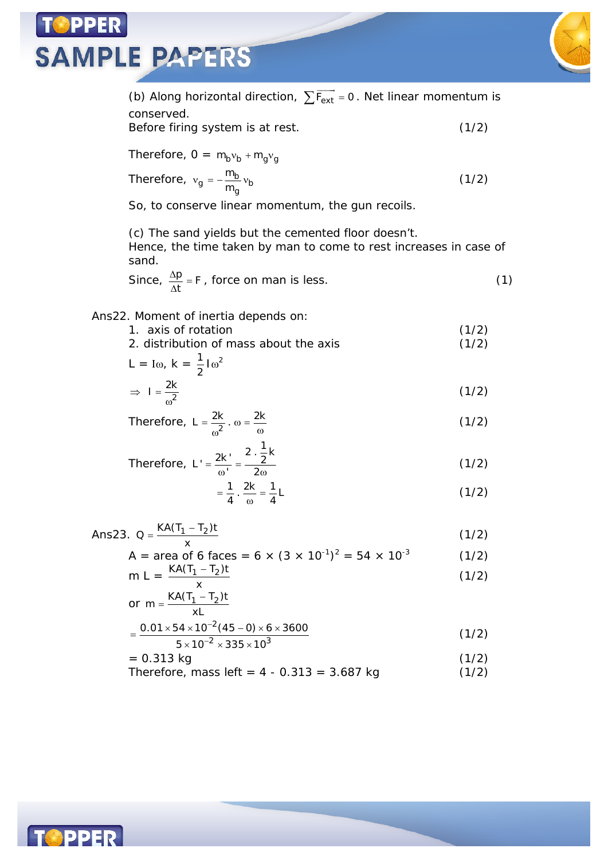### **PPER SAMPLE PAPERS**



(b) Along horizontal direction,  $\sum \overrightarrow{F_{ext}}$  =  $F_{\sf ext}$  = 0 . Net linear momentum is conserved. Before firing system is at rest. (1/2) Therefore,  $0 = m_b v_b + m_q v_q$ Therefore,  $v_g = -\frac{m_b}{m_g}v_b$ m  $v_g = -\frac{m_B}{m_a} v_b$  (1/2) So, to conserve linear momentum, the gun recoils. (c) The sand yields but the cemented floor doesn't. Hence, the time taken by man to come to rest increases in case of sand. Since,  $\frac{\Delta p}{\Delta t} = F$  $\frac{\Delta p}{\Delta t}$  = F, force on man is less. (1) Ans22. Moment of inertia depends on: 1. axis of rotation (1/2) 2. distribution of mass about the axis (1/2)  $L = I\omega, k = \frac{1}{2}I\omega^2$  $\Rightarrow$  1 =  $\omega^2$  $I = \frac{2k}{2}$  (1/2) Therefore,  $L = \frac{2R}{3}$ .  $\omega = \frac{2}{3}$  $L = \frac{2k}{\omega^2} \cdot \omega = \frac{2k}{\omega}$  (1/2) Therefore,  $L' = \frac{2R}{\omega'} = \frac{2}{2\omega}$ L' =  $\frac{2k'}{\omega'} = \frac{2 \cdot \frac{1}{2}k}{2\omega}$  $(1/2)$  $=\frac{1}{4} \cdot \frac{2k}{\omega} = \frac{1}{4}L$  $(1/2)$ Ans23. Q =  $\frac{KA(T_1 - T_2)t}{(1/2)}$  (1/2) x A = area of 6 faces = 6  $\times$  (3  $\times$  10<sup>-1</sup>)<sup>2</sup> = 54  $\times$  10<sup>-3</sup>  $(1/2)$ m L =  $\frac{KA(T_1 - T_2)t}{x}$  $\overline{a}$  $(1/2)$ or m =  $\frac{KA(T_1 - T_2)t}{dt}$ xL  $=\frac{KA(T_1 -$ 2  $2\overline{2}$   $335\overline{2}$  $0.01 \times 54 \times 10^{-2} (45 - 0) \times 6 \times 3600$  $5 \times 10^{-2} \times 335 \times 10$ -÷  $=\frac{0.01\times54\times10^{-2}(45-0)\times6\times3}{2}$  $\times$ 10<sup>-2</sup>  $\times$ 335  $\times$ (1/2)  $= 0.313 \text{ kg}$  (1/2) Therefore, mass left =  $4 - 0.313 = 3.687$  kg  $(1/2)$ 

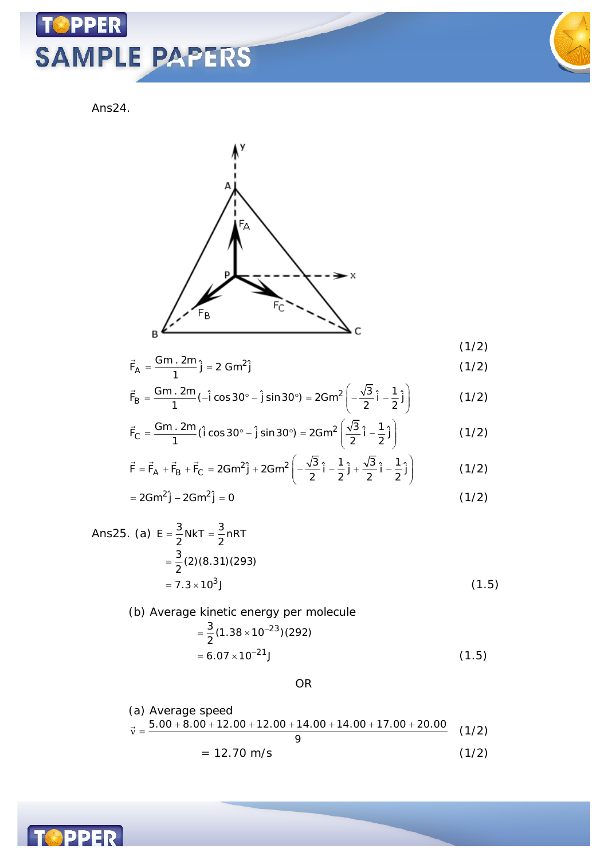## **TOPPER SAMPLE PAPERS**

Ans24.

 $\overline{a}$ 

 $\overline{a}$ 

B

$$
\vec{F}_{A} = \frac{Gm \cdot 2m}{1} \hat{j} = 2 \text{ Gm}^{2} \hat{j}
$$
\n(1/2)\n
$$
\vec{F}_{B} = \frac{Gm \cdot 2m}{1} (-\hat{i} \cos 30^{\circ} - \hat{j} \sin 30^{\circ}) = 2Gm^{2} \left( -\frac{\sqrt{3}}{2} \hat{i} - \frac{1}{2} \hat{j} \right)
$$
\n(1/2)

$$
\vec{F}_{C} = \frac{Gm \cdot 2m}{1} (\hat{i} \cos 30^{\circ} - \hat{j} \sin 30^{\circ}) = 2Gm^{2} \left( \frac{\sqrt{3}}{2} \hat{i} - \frac{1}{2} \hat{j} \right)
$$
(1/2)

$$
\vec{F} = \vec{F}_A + \vec{F}_B + \vec{F}_C = 2Gm^2 \hat{j} + 2Gm^2 \left( -\frac{\sqrt{3}}{2} \hat{i} - \frac{1}{2} \hat{j} + \frac{\sqrt{3}}{2} \hat{i} - \frac{1}{2} \hat{j} \right)
$$
(1/2)

$$
= 2Gm^2 \hat{j} - 2Gm^2 \hat{j} = 0
$$
 (1/2)

Ans25. (a) 
$$
E = \frac{3}{2}NKT = \frac{3}{2}nRT
$$
  
=  $\frac{3}{2}(2)(8.31)(293)$   
=  $7.3 \times 10^3$  J (1.5)

(b) Average kinetic energy per molecule  
\n
$$
= \frac{3}{2} (1.38 \times 10^{-23}) (292)
$$
\n
$$
= 6.07 \times 10^{-21} \text{J}
$$
\n(1.5)

OR

(a) Average speed  
\n
$$
\vec{v} = \frac{5.00 + 8.00 + 12.00 + 12.00 + 14.00 + 14.00 + 17.00 + 20.00}{9}
$$
\n
$$
= 12.70 \text{ m/s}
$$
\n(1/2)

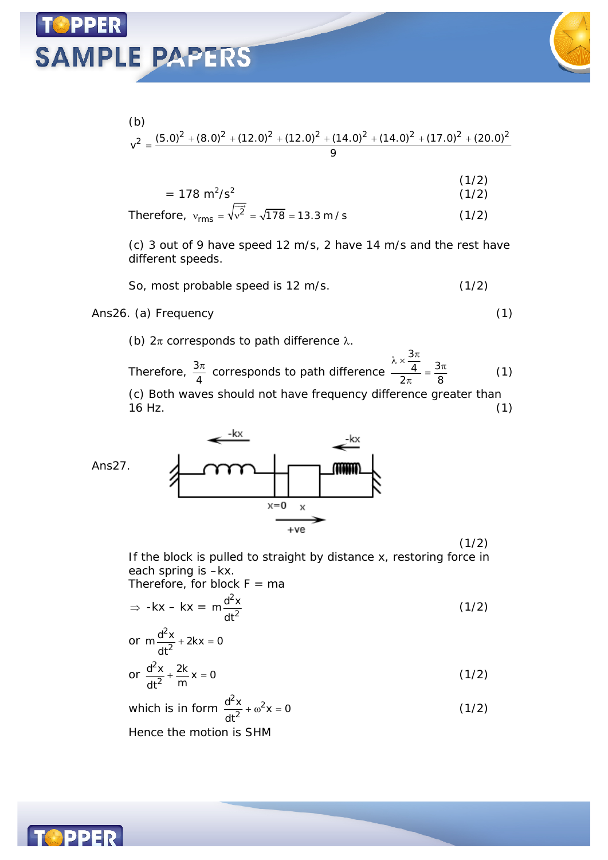## **SAMPLE PAPERS**



(b)  
\n
$$
v^{2} = \frac{(5.0)^{2} + (8.0)^{2} + (12.0)^{2} + (12.0)^{2} + (14.0)^{2} + (14.0)^{2} + (17.0)^{2} + (20.0)^{2}}{9}
$$

$$
= 178 \text{ m}^2/\text{s}^2 \tag{1/2}
$$

Therefore, 
$$
v_{\rm rms} = \sqrt{v^2} = \sqrt{178} = 13.3 \text{ m/s}
$$
 (1/2)

(c) 3 out of 9 have speed 12 m/s, 2 have 14 m/s and the rest have different speeds.

So, most probable speed is 12 m/s. (1/2)

#### Ans26. (a) Frequency (1)

(b)  $2\pi$  corresponds to path difference  $\lambda$ .

Therefore,  $\frac{3}{7}$ 4  $\frac{\pi}{4}$  corresponds to path difference 3  $\frac{4}{9}$  =  $\frac{3}{9}$  $2\pi$  8  $rac{\lambda \times \frac{3\pi}{4}}{2\pi} = \frac{3\pi}{8}$ (1) (c) Both waves should not have frequency difference greater than  $16$  Hz. (1)



If the block is pulled to straight by distance x, restoring force in each spring is –kx.

 $(1/2)$ 

Therefore, for block  $F = ma$ 

$$
\Rightarrow -kx - kx = m \frac{d^2x}{dt^2}
$$
 (1/2)

or 
$$
m \frac{d^2x}{dt^2} + 2kx = 0
$$

$$
\text{or } \frac{d^2x}{dt^2} + \frac{2k}{m}x = 0 \tag{1/2}
$$

which is in form  $\frac{u}{2} + \omega^2 x = 0$  $^{2}x + \omega^{2}$  $\frac{d^2x}{dt^2} + \omega^2 x = 0$ dt  $(1/2)$ Hence the motion is SHM

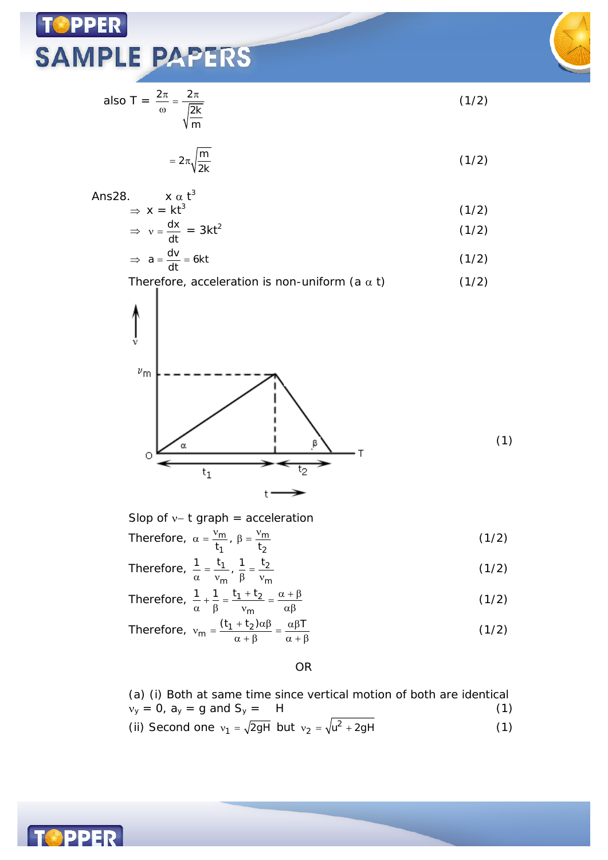## **TOPPER SAMPLE PAPERS**



 $(1/2)$ 

also 
$$
T = \frac{2\pi}{\omega} = \frac{2\pi}{\sqrt{\frac{2k}{m}}}
$$

$$
=2\pi\sqrt{\frac{m}{2k}}\tag{1/2}
$$

Ans28. 
$$
x \alpha t^3
$$
  
\n $\Rightarrow x = kt^3$  (1/2)

$$
\Rightarrow v = \frac{dx}{dt} = 3kt^2 \tag{1/2}
$$

$$
\Rightarrow a = \frac{dv}{dt} = 6kt \tag{1/2}
$$

Therefore, acceleration is non-uniform (a 
$$
\alpha
$$
 t) (1/2)  
\n
$$
\begin{bmatrix}\n\mu_{\text{m}} \\
\vdots \\
\mu_{\text{m}}\n\end{bmatrix}
$$

$$
\circ \underbrace{\qquad \qquad \qquad }_{t_1} \qquad \qquad \qquad \bullet \qquad \qquad }_{t_2} \qquad \qquad \bullet
$$

Slop of  $v-$  t graph = acceleration Therefore,  $\alpha = \frac{v_m}{\hbar}$ ,  $\beta = \frac{v_m}{\hbar}$ 1 2  $\frac{m}{t_1}$ ,  $\beta = \frac{1}{t_1}$ (1/2)

 $t^{\bullet}$ 

Therefore,  $\frac{1}{2} = \frac{11}{2}$ ,  $\frac{1}{2} = \frac{12}{2}$ m P <sup>v</sup>m  $\frac{1}{\alpha} = \frac{t_1}{v_m}$ ,  $\frac{1}{\beta} = \frac{t_2}{v_n}$ (1/2)

Therefore, 
$$
\frac{1}{\alpha} + \frac{1}{\beta} = \frac{t_1 + t_2}{v_m} = \frac{\alpha + \beta}{\alpha \beta}
$$
 (1/2)

Therefore, 
$$
v_m = \frac{(t_1 + t_2)\alpha\beta}{\alpha + \beta} = \frac{\alpha\beta T}{\alpha + \beta}
$$
 (1/2)

#### OR

\n- (a) (i) Both at same time since vertical motion of both are identical 
$$
v_y = 0
$$
,  $a_y = g$  and  $S_y = H$
\n- (ii) Second one  $v_1 = \sqrt{2gH}$  but  $v_2 = \sqrt{u^2 + 2gH}$
\n- (1)
\n

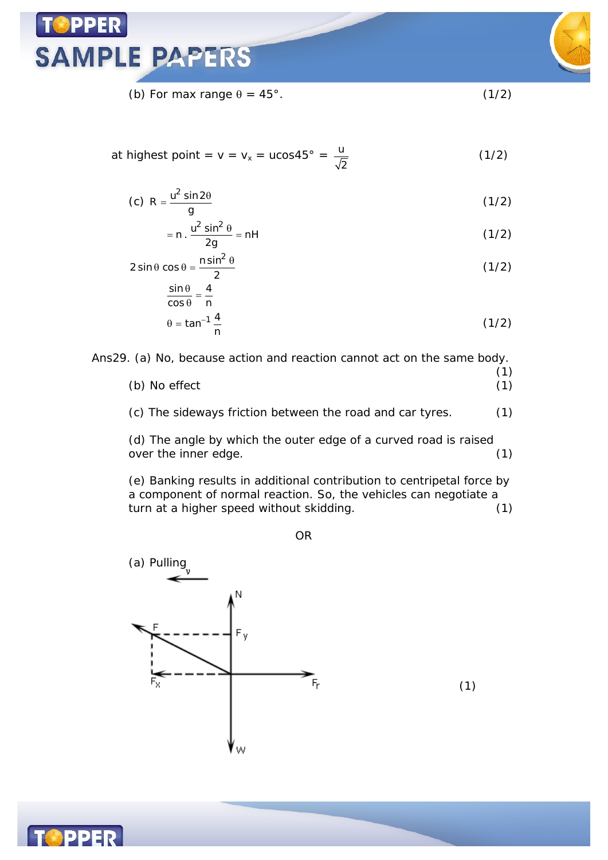

(b) For max range  $\theta = 45^{\circ}$ . (1/2)

at highest point = v = v<sub>x</sub> = u
$$
\cos 45^\circ = \frac{u}{\sqrt{2}}
$$
 (1/2)

$$
(c) R = \frac{u^2 \sin 2\theta}{g}
$$
 (1/2)

$$
= n \cdot \frac{u^2 \sin^2 \theta}{2g} = nH
$$
 (1/2)

$$
2\sin\theta\cos\theta = \frac{n\sin^2\theta}{2}
$$
 (1/2)

$$
\frac{\sin \theta}{\cos \theta} = \frac{4}{n}
$$
  
 
$$
\theta = \tan^{-1} \frac{4}{n}
$$
 (1/2)

Ans29. (a) No, because action and reaction cannot act on the same body.

(1) (b) No effect (1) (c) The sideways friction between the road and car tyres. (1)

(d) The angle by which the outer edge of a curved road is raised over the inner edge. (1)

(e) Banking results in additional contribution to centripetal force by a component of normal reaction. So, the vehicles can negotiate a turn at a higher speed without skidding. (1)

OR





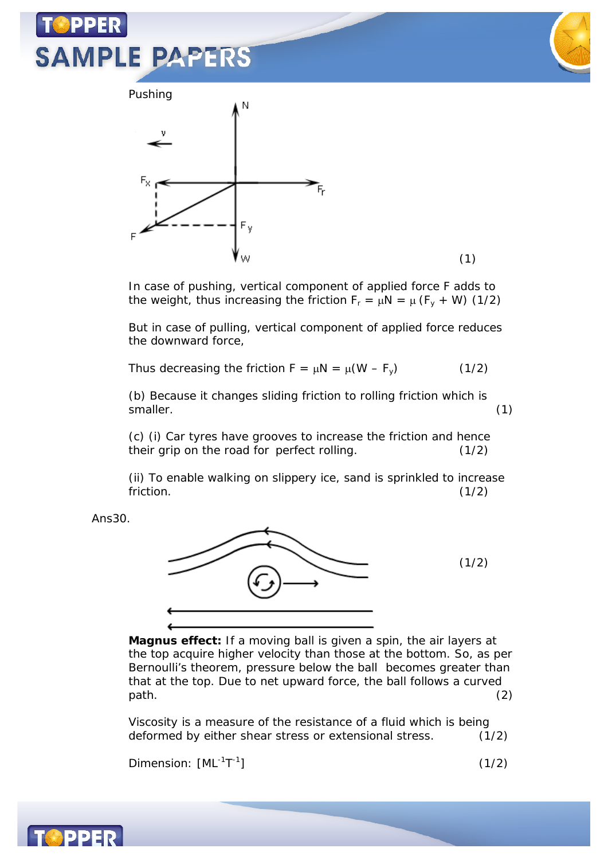# **SAMPLE PAPERS**





In case of pushing, vertical component of applied force F adds to the weight, thus increasing the friction  $F_r = \mu N = \mu (F_v + W)$  (1/2)

But in case of pulling, vertical component of applied force reduces the downward force,

Thus decreasing the friction  $F = \mu N = \mu (W - F_v)$  (1/2)

(b) Because it changes sliding friction to rolling friction which is smaller. (1)

(c) (i) Car tyres have grooves to increase the friction and hence their grip on the road for perfect rolling. (1/2)

(ii) To enable walking on slippery ice, sand is sprinkled to increase  $friction.$   $(1/2)$ 

Ans30.



**Magnus effect:** If a moving ball is given a spin, the air layers at the top acquire higher velocity than those at the bottom. So, as per Bernoulli's theorem, pressure below the ball becomes greater than that at the top. Due to net upward force, the ball follows a curved  $path.$   $(2)$ 

Viscosity is a measure of the resistance of a fluid which is being deformed by either shear stress or extensional stress. (1/2)

Dimension: [ML<sup>-1</sup>T<sup>-1</sup>

 $(1/2)$ 

(1)